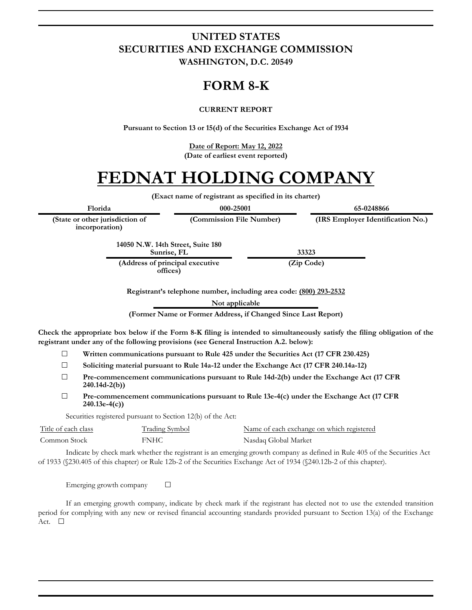### **UNITED STATES SECURITIES AND EXCHANGE COMMISSION WASHINGTON, D.C. 20549**

## **FORM 8-K**

#### **CURRENT REPORT**

**Pursuant to Section 13 or 15(d) of the Securities Exchange Act of 1934**

**Date of Report: May 12, 2022 (Date of earliest event reported)**

# **FEDNAT HOLDING COMPANY**

**(Exact name of registrant as specified in its charter)**

**(Commission File Number) (IRS Employer Identification No.)**

**Florida 000-25001 65-0248866**

**(State or other jurisdiction of incorporation)**

> **14050 N.W. 14th Street, Suite 180 Sunrise, FL 33323**

**(Address of principal executive offices)**

**(Zip Code)**

**Registrant's telephone number, including area code: (800) 293-2532**

**Not applicable**

**(Former Name or Former Address, if Changed Since Last Report)**

**Check the appropriate box below if the Form 8-K filing is intended to simultaneously satisfy the filing obligation of the registrant under any of the following provisions (see General Instruction A.2. below):**

- ☐ **Written communications pursuant to Rule 425 under the Securities Act (17 CFR 230.425)**
- ☐ **Soliciting material pursuant to Rule 14a-12 under the Exchange Act (17 CFR 240.14a-12)**
- ☐ **Pre-commencement communications pursuant to Rule 14d-2(b) under the Exchange Act (17 CFR 240.14d-2(b))**
- ☐ **Pre-commencement communications pursuant to Rule 13e-4(c) under the Exchange Act (17 CFR 240.13e-4(c))**

Securities registered pursuant to Section 12(b) of the Act:

| Title of each class | Trading Symbol | Name of each exchange on which registered |
|---------------------|----------------|-------------------------------------------|
| Common Stock        | FNHC           | Nasdaq Global Market                      |

Indicate by check mark whether the registrant is an emerging growth company as defined in Rule 405 of the Securities Act of 1933 (§230.405 of this chapter) or Rule 12b-2 of the Securities Exchange Act of 1934 (§240.12b-2 of this chapter).

Emerging growth company  $\Box$ 

If an emerging growth company, indicate by check mark if the registrant has elected not to use the extended transition period for complying with any new or revised financial accounting standards provided pursuant to Section 13(a) of the Exchange Act. □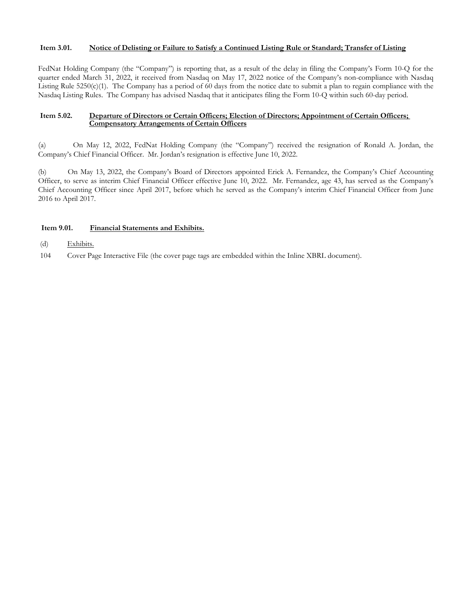#### **Item 3.01. Notice of Delisting or Failure to Satisfy a Continued Listing Rule or Standard; Transfer of Listing**

FedNat Holding Company (the "Company") is reporting that, as a result of the delay in filing the Company's Form 10-Q for the quarter ended March 31, 2022, it received from Nasdaq on May 17, 2022 notice of the Company's non-compliance with Nasdaq Listing Rule  $5250(c)(1)$ . The Company has a period of 60 days from the notice date to submit a plan to regain compliance with the Nasdaq Listing Rules. The Company has advised Nasdaq that it anticipates filing the Form 10-Q within such 60-day period.

#### **Item 5.02. Departure of Directors or Certain Officers; Election of Directors; Appointment of Certain Officers; Compensatory Arrangements of Certain Officers**

(a) On May 12, 2022, FedNat Holding Company (the "Company") received the resignation of Ronald A. Jordan, the Company's Chief Financial Officer. Mr. Jordan's resignation is effective June 10, 2022.

(b) On May 13, 2022, the Company's Board of Directors appointed Erick A. Fernandez, the Company's Chief Accounting Officer, to serve as interim Chief Financial Officer effective June 10, 2022. Mr. Fernandez, age 43, has served as the Company's Chief Accounting Officer since April 2017, before which he served as the Company's interim Chief Financial Officer from June 2016 to April 2017.

#### **Item 9.01. Financial Statements and Exhibits.**

- (d) Exhibits.
- 104 Cover Page Interactive File (the cover page tags are embedded within the Inline XBRL document).